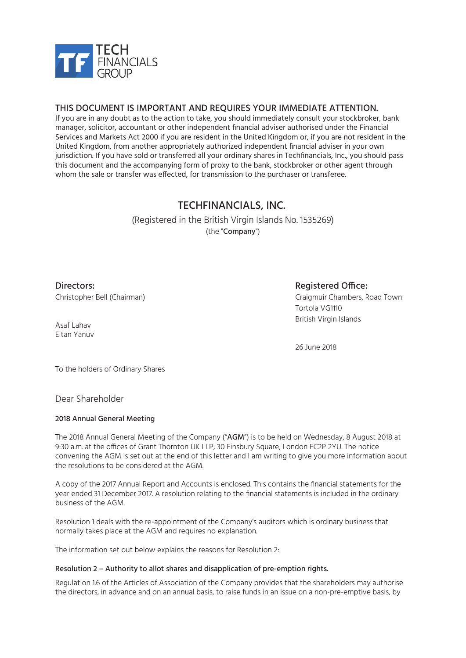

### THIS DOCUMENT IS IMPORTANT AND REQUIRES YOUR IMMEDIATE ATTENTION.

If you are in any doubt as to the action to take, you should immediately consult your stockbroker, bank manager, solicitor, accountant or other independent financial adviser authorised under the Financial Services and Markets Act 2000 if you are resident in the United Kingdom or, if you are not resident in the United Kingdom, from another appropriately authorized independent financial adviser in your own jurisdiction. If you have sold or transferred all your ordinary shares in Techfinancials, Inc., you should pass this document and the accompanying form of proxy to the bank, stockbroker or other agent through whom the sale or transfer was effected, for transmission to the purchaser or transferee.

## TECHFINANCIALS, INC.

(Registered in the British Virgin Islands No. 1535269) (the "Company")

Directors: Christopher Bell (Chairman)

### Registered Office:

Craigmuir Chambers, Road Town Tortola VG1110 British Virgin Islands

Asaf Lahav Eitan Yanuv

26 June 2018

To the holders of Ordinary Shares

Dear Shareholder

### 2018 Annual General Meeting

The 2018 Annual General Meeting of the Company ("AGM") is to be held on Wednesday, 8 August 2018 at 9:30 a.m. at the offices of Grant Thornton UK LLP, 30 Finsbury Square, London EC2P 2YU. The notice convening the AGM is set out at the end of this letter and I am writing to give you more information about the resolutions to be considered at the AGM.

A copy of the 2017 Annual Report and Accounts is enclosed. This contains the financial statements for the year ended 31 December 2017. A resolution relating to the financial statements is included in the ordinary business of the AGM.

Resolution 1 deals with the re-appointment of the Company's auditors which is ordinary business that normally takes place at the AGM and requires no explanation.

The information set out below explains the reasons for Resolution 2:

### Resolution 2 – Authority to allot shares and disapplication of pre-emption rights.

Regulation 1.6 of the Articles of Association of the Company provides that the shareholders may authorise the directors, in advance and on an annual basis, to raise funds in an issue on a non-pre-emptive basis, by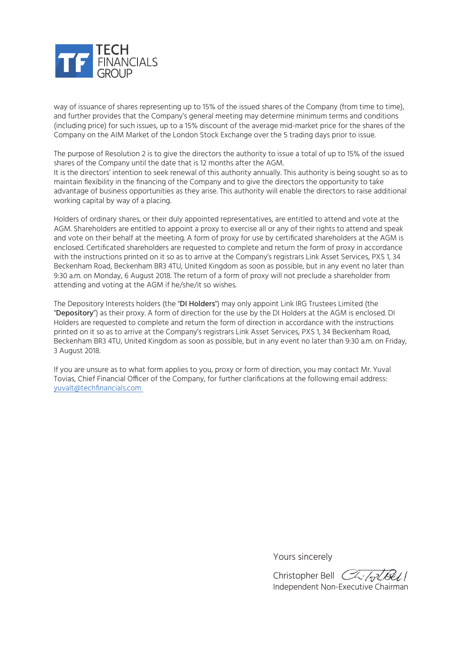

way of issuance of shares representing up to 15% of the issued shares of the Company (from time to time), and further provides that the Company's general meeting may determine minimum terms and conditions (including price) for such issues, up to a 15% discount of the average mid-market price for the shares of the Company on the AIM Market of the London Stock Exchange over the 5 trading days prior to issue.

The purpose of Resolution 2 is to give the directors the authority to issue a total of up to 15% of the issued shares of the Company until the date that is 12 months after the AGM. It is the directors' intention to seek renewal of this authority annually. This authority is being sought so as to maintain flexibility in the financing of the Company and to give the directors the opportunity to take advantage of business opportunities as they arise. This authority will enable the directors to raise additional working capital by way of a placing.

Holders of ordinary shares, or their duly appointed representatives, are entitled to attend and vote at the AGM. Shareholders are entitled to appoint a proxy to exercise all or any of their rights to attend and speak and vote on their behalf at the meeting. A form of proxy for use by certificated shareholders at the AGM is enclosed. Certificated shareholders are requested to complete and return the form of proxy in accordance with the instructions printed on it so as to arrive at the Company's registrars Link Asset Services, PXS 1, 34 Beckenham Road, Beckenham BR3 4TU, United Kingdom as soon as possible, but in any event no later than 9:30 a.m. on Monday, 6 August 2018. The return of a form of proxy will not preclude a shareholder from attending and voting at the AGM if he/she/it so wishes.

The Depository Interests holders (the "DI Holders") may only appoint Link IRG Trustees Limited (the "Depository") as their proxy. A form of direction for the use by the DI Holders at the AGM is enclosed. DI Holders are requested to complete and return the form of direction in accordance with the instructions printed on it so as to arrive at the Company's registrars Link Asset Services, PXS 1, 34 Beckenham Road, Beckenham BR3 4TU, United Kingdom as soon as possible, but in any event no later than 9:30 a.m. on Friday, 3 August 2018.

If you are unsure as to what form applies to you, proxy or form of direction, you may contact Mr. Yuval Tovias, Chief Financial Officer of the Company, for further clarifications at the following email address: yuvalt@techfinancials.com

Yours sincerely

Christopher Bell Chilard Bell Independent Non-Executive Chairman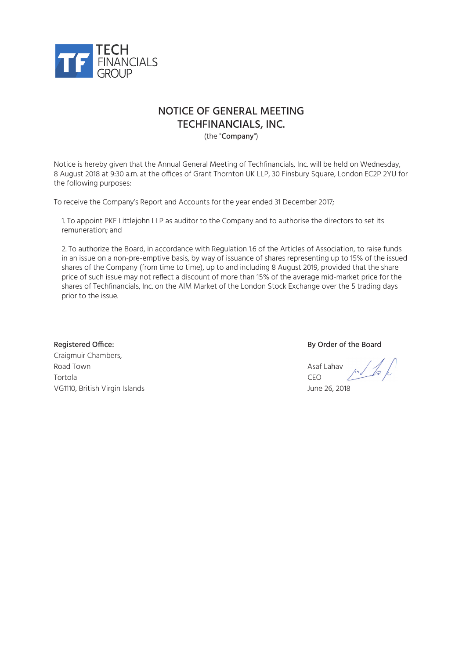

## NOTICE OF GENERAL MEETING TECHFINANCIALS, INC.

(the "Company")

Notice is hereby given that the Annual General Meeting of Techfinancials, Inc. will be held on Wednesday, 8 August 2018 at 9:30 a.m. at the offices of Grant Thornton UK LLP, 30 Finsbury Square, London EC2P 2YU for the following purposes:

To receive the Company's Report and Accounts for the year ended 31 December 2017;

1. To appoint PKF Littlejohn LLP as auditor to the Company and to authorise the directors to set its remuneration; and

2. To authorize the Board, in accordance with Regulation 1.6 of the Articles of Association, to raise funds in an issue on a non-pre-emptive basis, by way of issuance of shares representing up to 15% of the issued shares of the Company (from time to time), up to and including 8 August 2019, provided that the share price of such issue may not reflect a discount of more than 15% of the average mid-market price for the shares of Techfinancials, Inc. on the AIM Market of the London Stock Exchange over the 5 trading days prior to the issue.

Registered Office: **By Order of the Board** Craigmuir Chambers, Road Town Asaf Lahav Asaf Lahav Asaf Lahav Asaf Lahav Asaf Lahav Asaf Lahav Asaf Lahav Asaf Lahav Asaf Lahav A Tortola CEO VG1110, British Virgin Islands June 26, 2018

 $10/6k$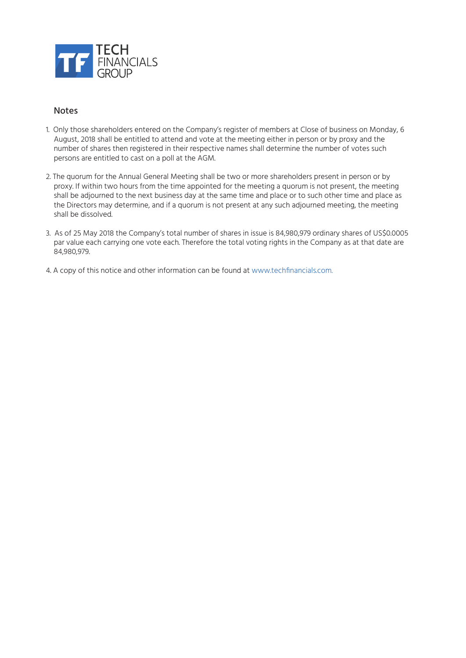

### Notes

- 1. Only those shareholders entered on the Company's register of members at Close of business on Monday, 6 August, 2018 shall be entitled to attend and vote at the meeting either in person or by proxy and the number of shares then registered in their respective names shall determine the number of votes such persons are entitled to cast on a poll at the AGM.
- 2. The quorum for the Annual General Meeting shall be two or more shareholders present in person or by proxy. If within two hours from the time appointed for the meeting a quorum is not present, the meeting shall be adjourned to the next business day at the same time and place or to such other time and place as the Directors may determine, and if a quorum is not present at any such adjourned meeting, the meeting shall be dissolved.
- 3. As of 25 May 2018 the Company's total number of shares in issue is 84,980,979 ordinary shares of US\$0.0005 par value each carrying one vote each. Therefore the total voting rights in the Company as at that date are 84,980,979.
- 4. A copy of this notice and other information can be found at www.techfinancials.com.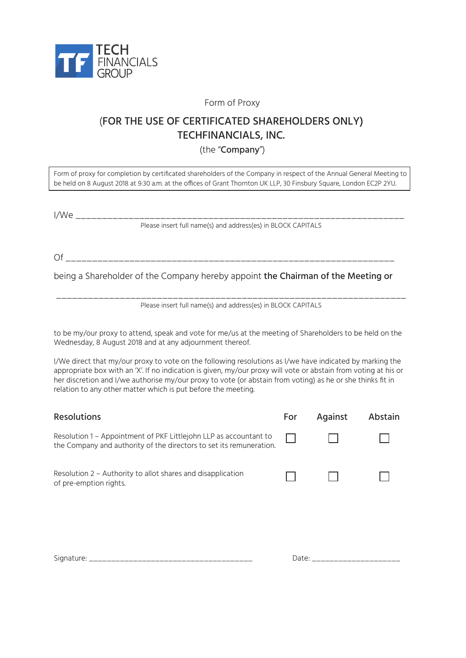

Form of Proxy

# (FOR THE USE OF CERTIFICATED SHAREHOLDERS ONLY) TECHFINANCIALS, INC.

(the "Company")

Form of proxy for completion by certificated shareholders of the Company in respect of the Annual General Meeting to be held on 8 August 2018 at 9:30 a.m. at the offices of Grant Thornton UK LLP, 30 Finsbury Square, London EC2P 2YU.

I/We \_\_\_\_\_\_\_\_\_\_\_\_\_\_\_\_\_\_\_\_\_\_\_\_\_\_\_\_\_\_\_\_\_\_\_\_\_\_\_\_\_\_\_\_\_\_\_\_\_\_\_\_\_\_\_\_\_\_\_\_\_\_

Please insert full name(s) and address(es) in BLOCK CAPITALS

Of \_\_\_\_\_\_\_\_\_\_\_\_\_\_\_\_\_\_\_\_\_\_\_\_\_\_\_\_\_\_\_\_\_\_\_\_\_\_\_\_\_\_\_\_\_\_\_\_\_\_\_\_\_\_\_\_\_\_\_\_\_\_

being a Shareholder of the Company hereby appoint the Chairman of the Meeting or

\_\_\_\_\_\_\_\_\_\_\_\_\_\_\_\_\_\_\_\_\_\_\_\_\_\_\_\_\_\_\_\_\_\_\_\_\_\_\_\_\_\_\_\_\_\_\_\_\_\_\_\_\_\_\_\_\_\_\_\_\_\_\_\_\_\_ Please insert full name(s) and address(es) in BLOCK CAPITALS

to be my/our proxy to attend, speak and vote for me/us at the meeting of Shareholders to be held on the Wednesday, 8 August 2018 and at any adjournment thereof.

I/We direct that my/our proxy to vote on the following resolutions as I/we have indicated by marking the appropriate box with an 'X'. If no indication is given, my/our proxy will vote or abstain from voting at his or her discretion and I/we authorise my/our proxy to vote (or abstain from voting) as he or she thinks fit in relation to any other matter which is put before the meeting.

| <b>Resolutions</b>                                                                                                                       | For   | Against               | Abstain |
|------------------------------------------------------------------------------------------------------------------------------------------|-------|-----------------------|---------|
| Resolution 1 - Appointment of PKF Littlejohn LLP as accountant to<br>the Company and authority of the directors to set its remuneration. |       |                       |         |
| Resolution 2 - Authority to allot shares and disapplication<br>of pre-emption rights.                                                    |       |                       |         |
|                                                                                                                                          | Date: | _____________________ |         |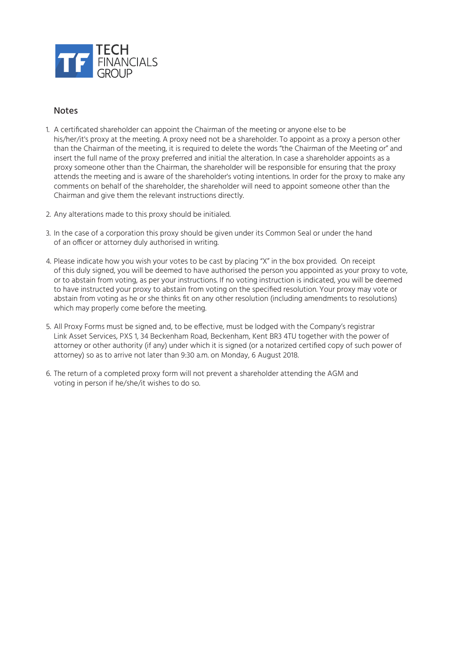

### **Notes**

- 1. A certificated shareholder can appoint the Chairman of the meeting or anyone else to be his/her/it's proxy at the meeting. A proxy need not be a shareholder. To appoint as a proxy a person other than the Chairman of the meeting, it is required to delete the words "the Chairman of the Meeting or" and insert the full name of the proxy preferred and initial the alteration. In case a shareholder appoints as a proxy someone other than the Chairman, the shareholder will be responsible for ensuring that the proxy attends the meeting and is aware of the shareholder's voting intentions. In order for the proxy to make any comments on behalf of the shareholder, the shareholder will need to appoint someone other than the Chairman and give them the relevant instructions directly.
- 2. Any alterations made to this proxy should be initialed.
- 3. In the case of a corporation this proxy should be given under its Common Seal or under the hand of an officer or attorney duly authorised in writing.
- 4. Please indicate how you wish your votes to be cast by placing "X" in the box provided. On receipt of this duly signed, you will be deemed to have authorised the person you appointed as your proxy to vote, or to abstain from voting, as per your instructions. If no voting instruction is indicated, you will be deemed to have instructed your proxy to abstain from voting on the specified resolution. Your proxy may vote or abstain from voting as he or she thinks fit on any other resolution (including amendments to resolutions) which may properly come before the meeting.
- 5. All Proxy Forms must be signed and, to be effective, must be lodged with the Company's registrar Link Asset Services, PXS 1, 34 Beckenham Road, Beckenham, Kent BR3 4TU together with the power of attorney or other authority (if any) under which it is signed (or a notarized certified copy of such power of attorney) so as to arrive not later than 9:30 a.m. on Monday, 6 August 2018.
- 6. The return of a completed proxy form will not prevent a shareholder attending the AGM and voting in person if he/she/it wishes to do so.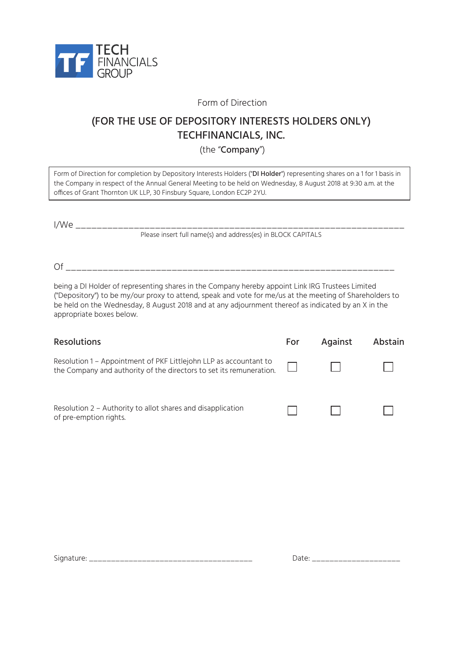

Form of Direction

# (FOR THE USE OF DEPOSITORY INTERESTS HOLDERS ONLY) TECHFINANCIALS, INC.

(the "Company")

Form of Direction for completion by Depository Interests Holders ("DI Holder") representing shares on a 1 for 1 basis in the Company in respect of the Annual General Meeting to be held on Wednesday, 8 August 2018 at 9:30 a.m. at the offices of Grant Thornton UK LLP, 30 Finsbury Square, London EC2P 2YU.

I/We \_\_\_\_\_\_\_\_\_\_\_\_\_\_\_\_\_\_\_\_\_\_\_\_\_\_\_\_\_\_\_\_\_\_\_\_\_\_\_\_\_\_\_\_\_\_\_\_\_\_\_\_\_\_\_\_\_\_\_\_\_\_ Please insert full name(s) and address(es) in BLOCK CAPITALS

Of \_\_\_\_\_\_\_\_\_\_\_\_\_\_\_\_\_\_\_\_\_\_\_\_\_\_\_\_\_\_\_\_\_\_\_\_\_\_\_\_\_\_\_\_\_\_\_\_\_\_\_\_\_\_\_\_\_\_\_\_\_\_

being a DI Holder of representing shares in the Company hereby appoint Link IRG Trustees Limited ("Depository") to be my/our proxy to attend, speak and vote for me/us at the meeting of Shareholders to be held on the Wednesday, 8 August 2018 and at any adjournment thereof as indicated by an X in the appropriate boxes below.

| <b>Resolutions</b>                                                                                                                       | For | Against | Abstain |
|------------------------------------------------------------------------------------------------------------------------------------------|-----|---------|---------|
| Resolution 1 – Appointment of PKF Littlejohn LLP as accountant to<br>the Company and authority of the directors to set its remuneration. |     |         |         |
| Resolution 2 – Authority to allot shares and disapplication<br>of pre-emption rights.                                                    |     |         |         |

Signature: \_\_\_\_\_\_\_\_\_\_\_\_\_\_\_\_\_\_\_\_\_\_\_\_\_\_\_\_\_\_\_\_\_\_\_\_\_ Date: \_\_\_\_\_\_\_\_\_\_\_\_\_\_\_\_\_\_\_\_